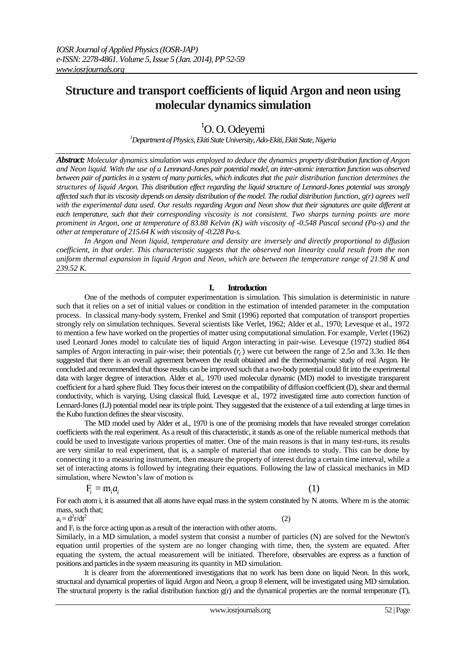# **Structure and transport coefficients of liquid Argon and neon using molecular dynamics simulation**

# ${}^{1}$ O. O. Odevemi

*<sup>1</sup>Department of Physics, Ekiti State University, Ado-Ekiti, Ekiti State, Nigeria*

*Abstract: Molecular dynamics simulation was employed to deduce the dynamics property distribution function of Argon and Neon liquid. With the use of a Lennnard-Jones pair potential model, an inter-atomic interaction function was observed between pair of particles in a system of many particles, which indicates that the pair distribution function determines the structures of liquid Argon. This distribution effect regarding the liquid structure of Lennard-Jones potential was strongly affected such that its viscosity depends on density distribution of the model. The radial distribution function, g(r) agrees well with the experimental data used. Our results regarding Argon and Neon show that their signatures are quite different at each temperature, such that their corresponding viscosity is not consistent. Two sharps turning points are more prominent in Argon, one at temperature of 83.88 Kelvin (K) with viscosity of -0.548 Pascal second (Pa-s) and the other at temperature of 215.64 K with viscosity of -0.228 Pa-s.* 

*In Argon and Neon liquid, temperature and density are inversely and directly proportional to diffusion coefficient, in that order. This characteristic suggests that the observed non linearity could result from the non uniform thermal expansion in liquid Argon and Neon, which are between the temperature range of 21.98 K and 239.52 K.*

## **I. Introduction**

One of the methods of computer experimentation is simulation. This simulation is deterministic in nature such that it relies on a set of initial values or condition in the estimation of intended parameter in the computation process. In classical many-body system, Frenkel and Smit (1996) reported that computation of transport properties strongly rely on simulation techniques. Several scientists like Verlet, 1962; Alder et al., 1970; Levesque et al., 1972 to mention a few have worked on the properties of matter using computational simulation. For example, Verlet (1962) used Leonard Jones model to calculate ties of liquid Argon interacting in pair-wise. Levesque (1972) studied 864 samples of Argon interacting in pair-wise; their potentials  $(r_c)$  were cut between the range of 2.5 $\sigma$  and 3.3 $\sigma$ . He then suggested that there is an overall agreement between the result obtained and the thermodynamic study of real Argon. He concluded and recommended that those results can be improved such that a two-body potential could fit into the experimental data with larger degree of interaction. Alder et al., 1970 used molecular dynamic (MD) model to investigate transparent coefficient for a hard sphere fluid. They focus their interest on the compatibility of diffusion coefficient (D), shear and thermal conductivity, which is varying. Using classical fluid, Levesque et al., 1972 investigated time auto correction function of Lennard-Jones (LJ) potential model near its triple point. They suggested that the existence of a tail extending at large times in the Kubo function defines the shear viscosity.

The MD model used by Alder et al., 1970 is one of the promising models that have revealed stronger correlation coefficients with the real experiment. As a result of this characteristic, it stands as one of the reliable numerical methods that could be used to investigate various properties of matter. One of the main reasons is that in many test-runs, its results are very similar to real experiment, that is, a sample of material that one intends to study. This can be done by connecting it to a measuring instrument, then measure the property of interest during a certain time interval, while a set of interacting atoms is followed by integrating their equations. Following the law of classical mechanics in MD simulation, where Newton's law of motion is is general to a measuring instrument, then measure the property of interest during a<br>racting atoms is followed by integrating their equations. Following the law c<br>n, where Newton's law of motion is<br> $F_i = m_i a_i$  (1)

$$
F_i = m_i a_i
$$

(2)

For each atom i, it is assumed that all atoms have equal mass in the system constituted by N atoms. Where m is the atomic mass, such that;

 $a_i = d^2r/dt^2$ 

and  $F_i$  is the force acting upon as a result of the interaction with other atoms.

Similarly, in a MD simulation, a model system that consist a number of particles (N) are solved for the Newton's equation until properties of the system are no longer changing with time, then, the system are equated. After equating the system, the actual measurement will be initiated. Therefore, observables are express as a function of positions and particles in the system measuring its quantity in MD simulation.

It is clearer from the aforementioned investigations that no work has been done on liquid Neon. In this work, structural and dynamical properties of liquid Argon and Neon, a group 8 element, will be investigated using MD simulation. The structural property is the radial distribution function  $g(r)$  and the dynamical properties are the normal temperature  $(T)$ ,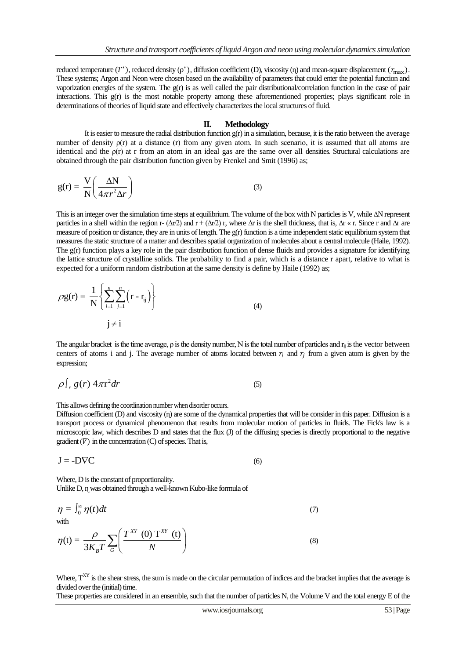reduced temperature  $(T^*)$ , reduced density  $(\rho^*)$ , diffusion coefficient (D), viscosity (n) and mean-square displacement  $(r_{\text{max}})$ . These systems; Argon and Neon were chosen based on the availability of parameters that could enter the potential function and vaporization energies of the system. The g(r) is as well called the pair distributional/correlation function in the case of pair interactions. This g(r) is the most notable property among these aforementioned properties; plays significant role in determinations of theories of liquid state and effectively characterizes the local structures of fluid.

## **II. Methodology**

It is easier to measure the radial distribution function  $g(r)$  in a simulation, because, it is the ratio between the average number of density *o*(r) at a distance (r) from any given atom. In such scenario, it is assumed that all atoms are identical and the  $\rho(r)$  at r from an atom in an ideal gas are the same over all densities. Structural calculations are obtained through the pair distribution function given by Frenkel and Smit (1996) as;

$$
g(r) = \frac{V}{N} \left( \frac{\Delta N}{4\pi r^2 \Delta r} \right)
$$
 (3)

This is an integer over the simulation time steps at equilibrium. The volume of the box with N particles is V, while ∆N represent particles in a shell within the region r-  $(\Delta r/2)$  and r +  $(\Delta r/2)$  r, where  $\Delta r$  is the shell thickness, that is,  $\Delta r \ll r$ . Since r and  $\Delta r$  are measure of position or distance, they are in units of length. The g(r) function is a time independent static equilibrium system that measures the static structure of a matter and describes spatial organization of molecules about a central molecule (Haile, 1992). The  $g(r)$  function plays a key role in the pair distribution function of dense fluids and provides a signature for identifying the lattice structure of crystalline solids. The probability to find a pair, which is a distance r apart, relative to what is expected for a uniform random distribution at the same density is define by Haile (1992) as;

$$
\rho g(r) = \frac{1}{N} \left\{ \sum_{i=1}^{n} \sum_{j=1}^{n} (r - r_{ij}) \right\}
$$
  
 
$$
j \neq i
$$
 (4)

The angular bracket is the time average,  $\rho$  is the density number, N is the total number of particles and  $r_{ii}$  is the vector between centers of atoms i and j. The average number of atoms located between  $r_i$  and  $r_j$  from a given atom is given by the expression;

$$
\rho \int_{r} g(r) 4\pi r^{2} dr \tag{5}
$$

This allows defining the coordination number when disorder occurs.

Diffusion coefficient (D) and viscosity (η) are some of the dynamical properties that will be consider in this paper. Diffusion is a transport process or dynamical phenomenon that results from molecular motion of particles in fluids. The Fick's law is a microscopic law, which describes D and states that the flux (J) of the diffusing species is directly proportional to the negative gradient  $(\nabla)$  in the concentration (C) of species. That is,

$$
J = -D\nabla C \tag{6}
$$

Where, D is the constant of proportionality. Unlike D, n was obtained through a well-known Kubo-like formula of

$$
\eta = \int_0^\infty \eta(t)dt
$$
\nwith\n
$$
\eta(t) = \frac{\rho}{3K_B T} \sum_G \left( \frac{T^{XY}(0) T^{XY}(t)}{N} \right)
$$
\n(8)

Where,  $T^{XY}$  is the shear stress, the sum is made on the circular permutation of indices and the bracket implies that the average is divided over the (initial) time.

These properties are considered in an ensemble, such that the number of particles N, the Volume V and the total energy E of the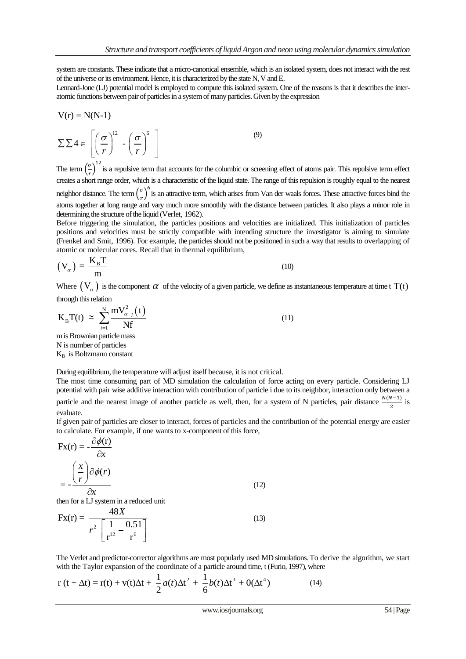system are constants. These indicate that a micro-canonical ensemble, which is an isolated system, does not interact with the rest of the universe or its environment. Hence, it is characterized by the state N, V and E.

Lennard-Jone (LJ) potential model is employed to compute this isolated system. One of the reasons is that it describes the interatomic functions between pair of particles in a system of many particles. Given by the expression

$$
V(r) = N(N-1)
$$

$$
\Sigma \Sigma 4 \in \left[ \left( \frac{\sigma}{r} \right)^{12} - \left( \frac{\sigma}{r} \right)^{6} \right]
$$
\n(9)

The term  $\left(\frac{\sigma}{\sigma}\right)$  $\frac{\sigma}{r}$ )<sup>12</sup> is a repulsive term that accounts for the columbic or screening effect of atoms pair. This repulsive term effect creates a short range order, which is a characteristic of the liquid state. The range of this repulsion is roughly equal to the nearest neighbor distance. The term  $\left(\frac{\sigma}{\sigma}\right)$  $\frac{\sigma}{r}$ )<sup>6</sup> is an attractive term, which arises from Van der waals forces. These attractive forces bind the atoms together at long range and vary much more smoothly with the distance between particles. It also plays a minor role in determining the structure of the liquid (Verlet, 1962).

Before triggering the simulation, the particles positions and velocities are initialized. This initialization of particles positions and velocities must be strictly compatible with intending structure the investigator is aiming to simulate (Frenkel and Smit, 1996). For example, the particles should not be positioned in such a way that results to overlapping of atomic or molecular cores. Recall that in thermal equilibrium,

$$
\left(\mathbf{V}_{\alpha}\right) = \frac{\mathbf{K}_{\mathrm{B}}\mathbf{T}}{\mathbf{m}}\tag{10}
$$

Where  $(V_\alpha)$  is the component  $\alpha$  of the velocity of a given particle, we define as instantaneous temperature at time t T(t) through this relation

$$
K_{B}T(t) \approx \sum_{i=1}^{N} \frac{mV_{\alpha_{i}}^{2}(t)}{Nf}
$$
  
\nm is Brownian particle mass  
\n
$$
N_{in} = \sum_{i=1}^{N} \frac{mV_{\alpha_{i}}^{2}(t)}{Nf}
$$
\n(11)

N is number of particles  $K_B$  is Boltzmann constant

During equilibrium, the temperature will adjust itself because, it is not critical.

The most time consuming part of MD simulation the calculation of force acting on every particle. Considering LJ potential with pair wise additive interaction with contribution of particle i due to its neighbor, interaction only between a particle and the nearest image of another particle as well, then, for a system of N particles, pair distance  $\frac{N(N-1)}{2}$  is evaluate.

If given pair of particles are closer to interact, forces of particles and the contribution of the potential energy are easier to calculate. For example, if one wants to x-component of this force,

$$
Fx(r) = -\frac{\partial \phi(r)}{\partial x}
$$
  
=  $-\frac{\left(\frac{x}{r}\right)\partial \phi(r)}{\partial x}$   
then for a LJ system in a reduced unit

$$
Fx(r) = \frac{48X}{r^2 \left[\frac{1}{r^{12}} - \frac{0.51}{r^6}\right]}
$$
(13)

The Verlet and predictor-corrector algorithms are most popularly used MD simulations. To derive the algorithm, we start with the Taylor expansion of the coordinate of a particle around time, t (Furio, 1997), where

The Verlet and predictor-corrector algorithms are most popularly used MD simulations. To do with the Taylor expansion of the coordinate of a particle around time, t (Furio, 1997), where 
$$
r(t + \Delta t) = r(t) + v(t)\Delta t + \frac{1}{2}a(t)\Delta t^2 + \frac{1}{6}b(t)\Delta t^3 + O(\Delta t^4)
$$
 (14)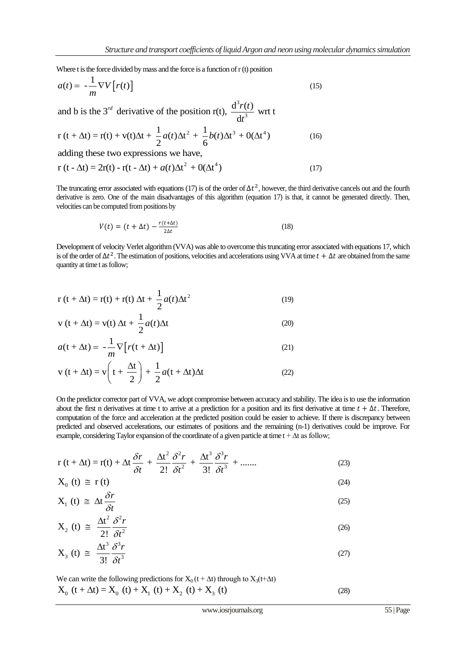Where t is the force divided by mass and the force is a function of r (t) position

$$
a(t) = -\frac{1}{m} \nabla V \left[ r(t) \right]
$$
  
and b is the 3<sup>rd</sup> derivative of the position r(t),  $\frac{d^3 r(t)}{dt^3}$  wrt t

3 *t*

and b is the 3<sup>rd</sup> derivative of the position r(t), 
$$
\frac{d^2 r(t)}{dt^3}
$$
 wrt t  
\nr (t +  $\Delta t$ ) = r(t) + v(t) $\Delta t$  +  $\frac{1}{2}a(t)\Delta t^2$  +  $\frac{1}{6}b(t)\Delta t^3$  + O( $\Delta t^4$ ) (16)  
\nadding these two expressions we have

adding these two expressions we have,  
\n
$$
r(t - \Delta t) = 2r(t) - r(t - \Delta t) + a(t)\Delta t^2 + O(\Delta t^4)
$$
\n(17)

The truncating error associated with equations (17) is of the order of  $\Delta t^2$ , however, the third derivative cancels out and the fourth derivative is zero. One of the main disadvantages of this algorithm (equation 17) is that, it cannot be generated directly. Then, velocities can be computed from positions by

$$
V(t) = (t + \Delta t) - \frac{r(t + \Delta t)}{2\Delta t}
$$
\n(18)

Development of velocity Verlet algorithm (VVA) was able to overcome this truncating error associated with equations 17, which is of the order of  $\Delta t^2$ . The estimation of positions, velocities and accelerations using VVA at time  $t + \Delta t$  are obtained from the same quantity at time t as follow;

$$
r(t + \Delta t) = r(t) + r(t) \Delta t + \frac{1}{2} a(t) \Delta t^2
$$
\n(19)

$$
v(t + \Delta t) = v(t) \Delta t + \frac{1}{2} a(t) \Delta t
$$
 (20)

$$
a(t + \Delta t) = -\frac{1}{m}\nabla \left[ r(t + \Delta t) \right]
$$
\n(21)

$$
v(t + \Delta t) = v \left( t + \frac{\Delta t}{2} \right) + \frac{1}{2} a(t + \Delta t) \Delta t
$$
 (22)

On the predictor corrector part of VVA, we adopt compromise between accuracy and stability. The idea is to use the information about the first n derivatives at time t to arrive at a prediction for a position and its first derivative at time  $t + \Delta t$ . Therefore, computation of the force and acceleration at the predicted position could be easier to achieve. If there is discrepancy between predicted and observed accelerations, our estimates of positions and the remaining (n-1) derivatives could be improve. For

example, considering Taylor expansion of the coordinate of a given particle at time 
$$
t + \Delta t
$$
 as follow;  
\n
$$
r(t + \Delta t) = r(t) + \Delta t \frac{\delta r}{\delta t} + \frac{\Delta t^2}{2!} \frac{\delta^2 r}{\delta t^2} + \frac{\Delta t^3}{3!} \frac{\delta^3 r}{\delta t^3} + \dots
$$
\n(23)

$$
X_0(t) \cong r(t) \tag{24}
$$

$$
X_1(t) \cong \Delta t \frac{\delta r}{\delta t} \tag{25}
$$

$$
X_2(t) \cong \frac{\Delta t^2}{2!} \frac{\delta^2 r}{\delta t^2}
$$
 (26)

$$
X_3(t) \cong \frac{\Delta t^3}{3!} \frac{\delta^3 r}{\delta t^3} \tag{27}
$$

We can write the following predictions for  $X_0(t + \Delta t)$  through to  $X_3(t+\Delta t)$  $X_0(t + \Delta t) = X_0(t) + X_1(t) + X_2(t) + X_3(t)$ 

(28)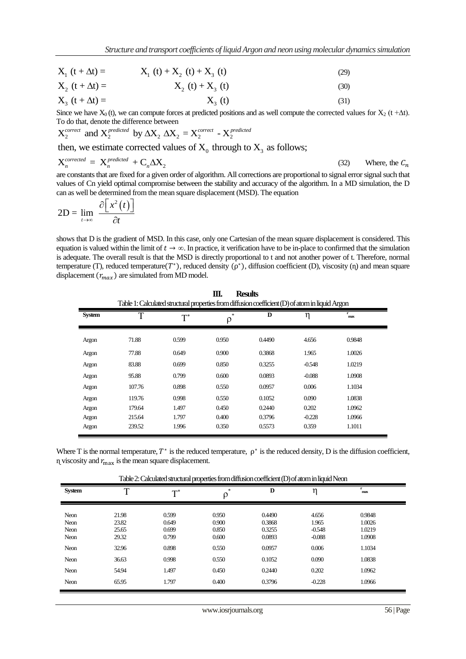|                       | su incure una transport coefficients of infinite if gott una neon using monecular a |      |
|-----------------------|-------------------------------------------------------------------------------------|------|
| $X_1(t + \Delta t) =$ | $X_1(t) + X_2(t) + X_3(t)$                                                          | (29) |
| $X_2(t + \Delta t) =$ | $X_2(t) + X_3(t)$                                                                   | (30) |

$$
X_2 (t + \Delta t) = \t\t X_2 (t) + X_3 (t) \t\t (30)X_3 (t + \Delta t) = \t\t X_3 (t) \t\t (31)
$$

Since we have  $X_0(t)$ , we can compute forces at predicted positions and as well compute the corrected values for  $X_2$  (t + $\Delta t$ ).

To do that, denote the difference between 
$$
X_2^{\text{correct}}
$$
 and  $X_2^{\text{predicted}}$  by  $\Delta X_2 \Delta X_2 = X_2^{\text{correct}} - X_2^{\text{predicted}}$ 

then, we estimate corrected values of  $X_0$  through to  $X_3$  as follows;

$$
X_n^{corrected} = X_n^{predicted} + C_n \Delta X_2
$$
 (32) Where, the  $C_n$ 

are constants that are fixed for a given order of algorithm. All corrections are proportional to signal error signal such that values of Cn yield optimal compromise between the stability and accuracy of the algorithm. In a MD simulation, the D can as well be determined from the mean square displacement (MSD). The equation

$$
2D = \lim_{t \to \infty} \frac{\partial \left[x^2(t)\right]}{\partial t}
$$

shows that D is the gradient of MSD. In this case, only one Cartesian of the mean square displacement is considered. This equation is valued within the limit of  $t \to \infty$ . In practice, it verification have to be in-place to confirmed that the simulation is adequate. The overall result is that the MSD is directly proportional to t and not another power of t. Therefore, normal temperature (T), reduced temperature  $(T^*)$ , reduced density  $(\rho^*)$ , diffusion coefficient (D), viscosity (n) and mean square displacement  $(r_{max})$  are simulated from MD model.

| Ш.<br><b>Results</b><br>Table 1: Calculated structural properties from diffusion coefficient (D) of atom in liquid Argon |        |       |                                        |        |          |           |  |
|--------------------------------------------------------------------------------------------------------------------------|--------|-------|----------------------------------------|--------|----------|-----------|--|
| <b>System</b>                                                                                                            | T      | $T^*$ | $\frac{d\mathbf{r}}{d\mathbf{r}}$<br>ρ | D      | η        | r.<br>max |  |
| Argon                                                                                                                    | 71.88  | 0.599 | 0.950                                  | 0.4490 | 4.656    | 0.9848    |  |
| Argon                                                                                                                    | 77.88  | 0.649 | 0.900                                  | 0.3868 | 1.965    | 1.0026    |  |
| Argon                                                                                                                    | 83.88  | 0.699 | 0.850                                  | 0.3255 | $-0.548$ | 1.0219    |  |
| Argon                                                                                                                    | 95.88  | 0.799 | 0.600                                  | 0.0893 | $-0.088$ | 1.0908    |  |
| Argon                                                                                                                    | 107.76 | 0.898 | 0.550                                  | 0.0957 | 0.006    | 1.1034    |  |
| Argon                                                                                                                    | 119.76 | 0.998 | 0.550                                  | 0.1052 | 0.090    | 1.0838    |  |
| Argon                                                                                                                    | 179.64 | 1.497 | 0.450                                  | 0.2440 | 0.202    | 1.0962    |  |
| Argon                                                                                                                    | 215.64 | 1.797 | 0.400                                  | 0.3796 | $-0.228$ | 1.0966    |  |
| Argon                                                                                                                    | 239.52 | 1.996 | 0.350                                  | 0.5573 | 0.359    | 1.1011    |  |

Where T is the normal temperature,  $T^*$  is the reduced temperature,  $\rho^*$  is the reduced density, D is the diffusion coefficient,  $\eta$  viscosity and  $r_{\text{max}}$  is the mean square displacement.

Table 2: Calculated structural properties from diffusion coefficient (D) of atom in liquid Neon

| <b>System</b> | $\mathbf T$ | $\mathbf{T}^*$ | $\frac{1}{2}$ | D      | η        | max    |  |
|---------------|-------------|----------------|---------------|--------|----------|--------|--|
|               |             |                |               |        |          |        |  |
| Neon          | 21.98       | 0.599          | 0.950         | 0.4490 | 4.656    | 0.9848 |  |
| Neon          | 23.82       | 0.649          | 0.900         | 0.3868 | 1.965    | 1.0026 |  |
| Neon          | 25.65       | 0.699          | 0.850         | 0.3255 | $-0.548$ | 1.0219 |  |
| Neon          | 29.32       | 0.799          | 0.600         | 0.0893 | $-0.088$ | 1.0908 |  |
| Neon          | 32.96       | 0.898          | 0.550         | 0.0957 | 0.006    | 1.1034 |  |
| Neon          | 36.63       | 0.998          | 0.550         | 0.1052 | 0.090    | 1.0838 |  |
| Neon          | 54.94       | 1.497          | 0.450         | 0.2440 | 0.202    | 1.0962 |  |
| Neon          | 65.95       | 1.797          | 0.400         | 0.3796 | $-0.228$ | 1.0966 |  |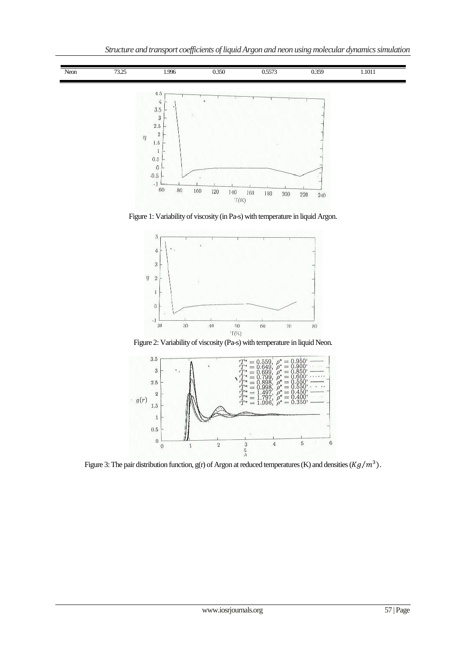

Figure 1: Variability of viscosity (in Pa-s) with temperature in liquid Argon.



Figure 2: Variability of viscosity (Pa-s) with temperature in liquid Neon.



Figure 3: The pair distribution function,  $g(r)$  of Argon at reduced temperatures (K) and densities ( $Kg/m^3$ ).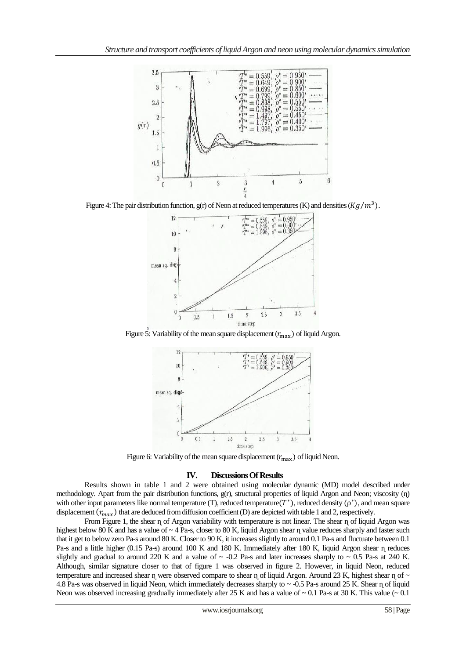

Figure 4: The pair distribution function, g(r) of Neon at reduced temperatures (K) and densities  $(Kg/m^3)$ .



Figure 5: Variability of the mean square displacement  $(r_{\text{max}})$  of liquid Argon.



Figure 6: Variability of the mean square displacement  $(r_{\text{max}})$  of liquid Neon.

## **IV. Discussions Of Results**

Results shown in table 1 and 2 were obtained using molecular dynamic (MD) model described under methodology. Apart from the pair distribution functions,  $g(r)$ , structural properties of liquid Argon and Neon; viscosity ( $n$ ) with other input parameters like normal temperature (T), reduced temperature  $(T^*)$ , reduced density  $(\rho^*)$ , and mean square displacement  $(r_{max})$  that are deduced from diffusion coefficient (D) are depicted with table 1 and 2, respectively.

From Figure 1, the shear ɳ of Argon variability with temperature is not linear. The shear ɳ of liquid Argon was highest below 80 K and has a value of  $\sim$  4 Pa-s, closer to 80 K, liquid Argon shear  $\eta$  value reduces sharply and faster such that it get to below zero Pa-s around 80 K. Closer to 90 K, it increases slightly to around 0.1 Pa-s and fluctuate between 0.1 Pa-s and a little higher (0.15 Pa-s) around 100 K and 180 K. Immediately after 180 K, liquid Argon shear η reduces slightly and gradual to around 220 K and a value of  $\sim$  -0.2 Pa-s and later increases sharply to  $\sim$  0.5 Pa-s at 240 K. Although, similar signature closer to that of figure 1 was observed in figure 2. However, in liquid Neon, reduced temperature and increased shear  $\eta$  were observed compare to shear  $\eta$  of liquid Argon. Around 23 K, highest shear  $\eta$  of  $\sim$ 4.8 Pa-s was observed in liquid Neon, which immediately decreases sharply to ~ -0.5 Pa-s around 25 K. Shear ɳ of liquid Neon was observed increasing gradually immediately after 25 K and has a value of  $\sim 0.1$  Pa-s at 30 K. This value ( $\sim 0.1$ )